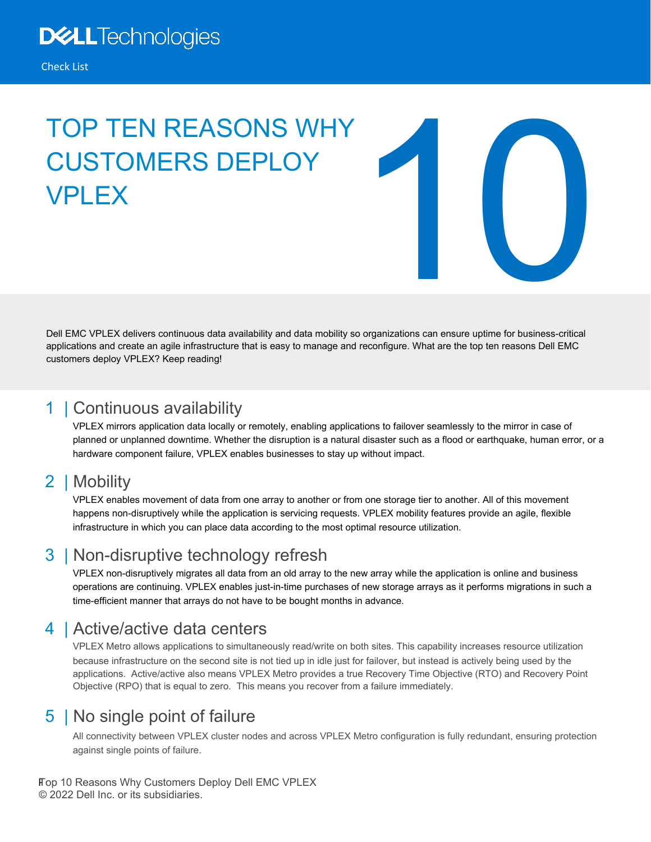# TOP TEN REASONS WHY CUSTOMERS DEPLOY **VPI FX**



Dell EMC VPLEX delivers continuous data availability and data mobility so organizations can ensure uptime for business-critical applications and create an agile infrastructure that is easy to manage and reconfigure. What are the top ten reasons Dell EMC customers deploy VPLEX? Keep reading!

## 1 | Continuous availability

VPLEX mirrors application data locally or remotely, enabling applications to failover seamlessly to the mirror in case of planned or unplanned downtime. Whether the disruption is a natural disaster such as a flood or earthquake, human error, or a hardware component failure, VPLEX enables businesses to stay up without impact.

# 2 | Mobility

VPLEX enables movement of data from one array to another or from one storage tier to another. All of this movement happens non-disruptively while the application is servicing requests. VPLEX mobility features provide an agile, flexible infrastructure in which you can place data according to the most optimal resource utilization.

# 3 | Non-disruptive technology refresh

VPLEX non-disruptively migrates all data from an old array to the new array while the application is online and business operations are continuing. VPLEX enables just-in-time purchases of new storage arrays as it performs migrations in such a time-efficient manner that arrays do not have to be bought months in advance.

# 4 | Active/active data centers

VPLEX Metro allows applications to simultaneously read/write on both sites. This capability increases resource utilization because infrastructure on the second site is not tied up in idle just for failover, but instead is actively being used by the applications. Active/active also means VPLEX Metro provides a true Recovery Time Objective (RTO) and Recovery Point Objective (RPO) that is equal to zero. This means you recover from a failure immediately.

# 5 | No single point of failure

All connectivity between VPLEX cluster nodes and across VPLEX Metro configuration is fully redundant, ensuring protection against single points of failure.

#### Fop 10 Reasons Why Customers Deploy Dell EMC VPLEX © 2022 Dell Inc. or its subsidiaries.